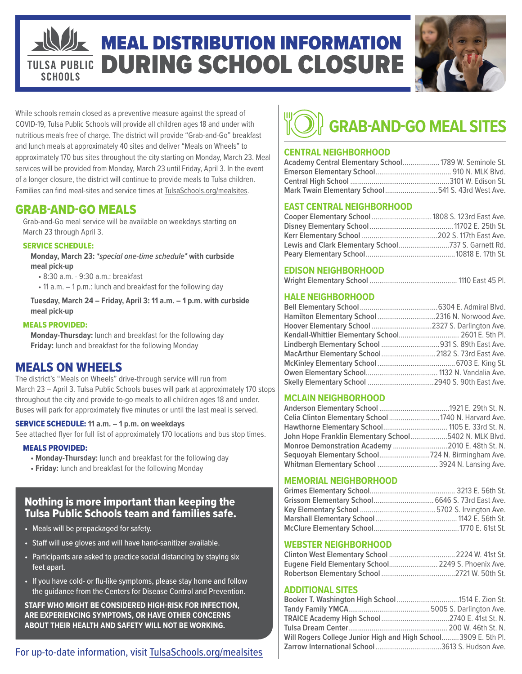## MEAL DISTRIBUTION INFORMATION DURING SCHOOL CLOSURE **TULSA PUBLIC SCHOOLS**



While schools remain closed as a preventive measure against the spread of COVID-19, Tulsa Public Schools will provide all children ages 18 and under with nutritious meals free of charge. The district will provide "Grab-and-Go" breakfast and lunch meals at approximately 40 sites and deliver "Meals on Wheels" to approximately 170 bus sites throughout the city starting on Monday, March 23. Meal services will be provided from Monday, March 23 until Friday, April 3. In the event of a longer closure, the district will continue to provide meals to Tulsa children. Families can find meal-sites and service times at TulsaSchools.org/mealsites.

# GRAB-AND-GO MEALS

Grab-and-Go meal service will be available on weekdays starting on March 23 through April 3.

#### SERVICE SCHEDULE:

**Monday, March 23:** *\*special one-time schedule\** **with curbside meal pick-up**

- 8:30 a.m. 9:30 a.m.: breakfast
- 11 a.m. 1 p.m.: lunch and breakfast for the following day

**Tuesday, March 24 – Friday, April 3: 11 a.m. – 1 p.m. with curbside meal pick-up**

#### MEALS PROVIDED:

**Monday-Thursday:** lunch and breakfast for the following day **Friday:** lunch and breakfast for the following Monday

### MEALS ON WHEELS

The district's "Meals on Wheels" drive-through service will run from March 23 – April 3. Tulsa Public Schools buses will park at approximately 170 stops throughout the city and provide to-go meals to all children ages 18 and under. Buses will park for approximately five minutes or until the last meal is served.

#### SERVICE SCHEDULE: **11 a.m. – 1 p.m. on weekdays**

See attached flyer for full list of approximately 170 locations and bus stop times.

#### MEALS PROVIDED:

- **Monday-Thursday:** lunch and breakfast for the following day
- **Friday:** lunch and breakfast for the following Monday

### Nothing is more important than keeping the Tulsa Public Schools team and families safe.

- Meals will be prepackaged for safety.
- Staff will use gloves and will have hand-sanitizer available.
- Participants are asked to practice social distancing by staying six feet apart.
- If you have cold- or flu-like symptoms, please stay home and follow the guidance from the Centers for Disease Control and Prevention.

**STAFF WHO MIGHT BE CONSIDERED HIGH-RISK FOR INFECTION, ARE EXPERIENCING SYMPTOMS, OR HAVE OTHER CONCERNS ABOUT THEIR HEALTH AND SAFETY WILL NOT BE WORKING.**

# **CENTRAL NEIGHBORHOOD Academy Central Elementary School**...................1789 W. Seminole St.

| Mark Twain Elementary School541 S. 43rd West Ave. |  |  |
|---------------------------------------------------|--|--|

**GRAB-AND-GO MEAL SITES**

#### **EAST CENTRAL NEIGHBORHOOD**

| Cooper Elementary School  1808 S. 123rd East Ave. |  |
|---------------------------------------------------|--|
|                                                   |  |
|                                                   |  |
|                                                   |  |
|                                                   |  |

#### **EDISON NEIGHBORHOOD**

|--|--|--|--|--|

#### **HALE NEIGHBORHOOD**

| Hamilton Elementary School 2316 N. Norwood Ave.    |
|----------------------------------------------------|
| Hoover Elementary School 2327 S. Darlington Ave.   |
| Kendall-Whittier Elementary School 2601 E. 5th Pl. |
| Lindbergh Elementary School 931 S. 89th East Ave.  |
| MacArthur Elementary School 2182 S. 73rd East Ave. |
|                                                    |
|                                                    |
|                                                    |
|                                                    |

#### **MCLAIN NEIGHBORHOOD**

| Celia Clinton Elementary School 1740 N. Harvard Ave.  |  |
|-------------------------------------------------------|--|
|                                                       |  |
| John Hope Franklin Elementary School5402 N. MLK Blvd. |  |
| Monroe Demonstration Academy 2010 E. 48th St. N.      |  |
|                                                       |  |
| Whitman Elementary School  3924 N. Lansing Ave.       |  |

#### **MEMORIAL NEIGHBORHOOD**

#### **WEBSTER NEIGHBORHOOD**

| Eugene Field Elementary School 2249 S. Phoenix Ave. |  |
|-----------------------------------------------------|--|
|                                                     |  |

#### **ADDITIONAL SITES**

| Will Rogers College Junior High and High School3909 E. 5th Pl. |  |
|----------------------------------------------------------------|--|
| <b>Zarrow International School</b> 3613 S. Hudson Ave.         |  |
|                                                                |  |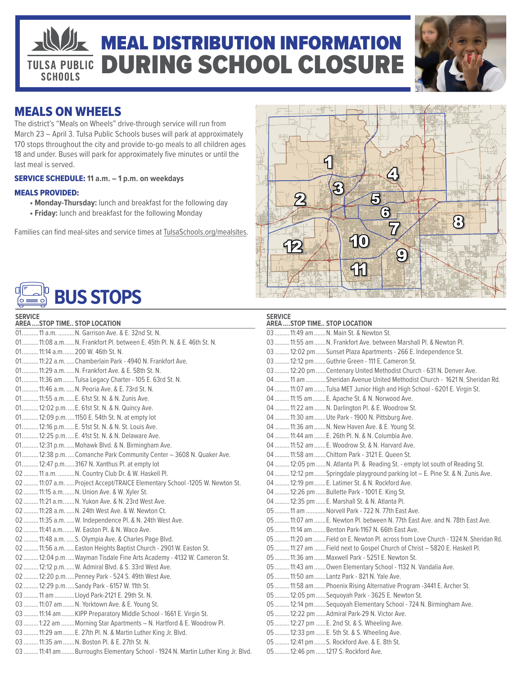# **MEAL DISTRIBUTION INFORMATION** DURING SCHOOL CLOSURE **TULSA PUBLIC SCHOOLS**



# MEALS ON WHEELS

The district's "Meals on Wheels" drive-through service will run from March 23 – April 3. Tulsa Public Schools buses will park at approximately 170 stops throughout the city and provide to-go meals to all children ages 18 and under. Buses will park for approximately five minutes or until the last meal is served.

#### SERVICE SCHEDULE: **11 a.m. – 1 p.m. on weekdays**

#### MEALS PROVIDED:

- **Monday-Thursday:** lunch and breakfast for the following day
- **Friday:** lunch and breakfast for the following Monday

Families can find meal-sites and service times at TulsaSchools.org/mealsites.



# **BUS STOPS**

| <b>SERVICE</b>               |  |  |
|------------------------------|--|--|
| AREA STOP TIME STOP LOCATION |  |  |

| <b>AREASTOP TIME STOP LOCATION</b>                                               |
|----------------------------------------------------------------------------------|
| 01 11 a.m.  N. Garrison Ave. & E. 32nd St. N.                                    |
| 01 11:08 a.m.  N. Frankfort PI. between E. 45th PI. N. & E. 46th St. N.          |
| 01 11:14 a.m 200 W. 46th St. N.                                                  |
| 01 11:22 a.m.  Chamberlain Park - 4940 N. Frankfort Ave.                         |
| 01 11:29 a.m.  N. Frankfort Ave. & E. 58th St. N.                                |
| 01 11:36 am  Tulsa Legacy Charter - 105 E. 63rd St. N.                           |
| 01 11:46 a.m.  N. Peoria Ave. & E. 73rd St. N.                                   |
| 01 11:55 a.m.  E. 61st St. N. & N. Zunis Ave.                                    |
| 01 12:02 p.m.  E. 61st St. N. & N. Quincy Ave.                                   |
| 01 12:09 p.m.  1150 E. 54th St. N. at empty lot                                  |
| 01 12:16 p.m.  E. 51st St. N. & N. St. Louis Ave.                                |
| 01 12:25 p.m.  E. 41st St. N. & N. Delaware Ave.                                 |
| 01 12:31 p.m.  Mohawk Blvd. & N. Birmingham Ave.                                 |
| 01 12:38 p.m.  Comanche Park Community Center - 3608 N. Quaker Ave.              |
| 01 12:47 p.m 3167 N. Xanthus Pl. at empty lot                                    |
| 02  11 a.m.  N. Country Club Dr. & W. Haskell Pl.                                |
| 02  11:07 a.m.  Project Accept/TRAICE Elementary School -1205 W. Newton St.      |
| 02  11:15 a.m N. Union Ave. & W. Xyler St.                                       |
| 02  11:21 a.m N. Yukon Ave. & N. 23rd West Ave.                                  |
| 02  11:28 a.m.  N. 24th West Ave. & W. Newton Ct.                                |
| 02  11:35 a.m.  W. Independence Pl. & N. 24th West Ave.                          |
| 02  11:41 a.m.  W. Easton Pl. & N. Waco Ave.                                     |
| 02  11:48 a.m.  S. Olympia Ave. & Charles Page Blvd.                             |
| 02  11:56 a.m.  Easton Heights Baptist Church - 2901 W. Easton St.               |
| 02  12:04 p.m.  Wayman Tisdale Fine Arts Academy - 4132 W. Cameron St.           |
| 02  12:12 p.m.  W. Admiral Blvd. & S. 33rd West Ave.                             |
| 02  12:20 p.m.  Penney Park - 524 S. 49th West Ave.                              |
| 02  12:29 p.m.  Sandy Park - 6157 W. 11th St.                                    |
| 03  11 am  Lloyd Park-2121 E. 29th St. N.                                        |
| 03  11:07 am  N. Yorktown Ave. & E. Young St.                                    |
| 03  11:14 am  KIPP Preparatory Middle School - 1661 E. Virgin St.                |
| 03  1:22 am  Morning Star Apartments - N. Hartford & E. Woodrow Pl.              |
| 03  11:29 am  E. 27th Pl. N. & Martin Luther King Jr. Blvd.                      |
| 03  11:35 am  N. Boston Pl. & E. 27th St. N.                                     |
| 03  11:41 am  Burroughs Elementary School - 1924 N. Martin Luther King Jr. Blvd. |
|                                                                                  |

| <b>SERVICE</b><br><b>AREASTOP TIME STOP LOCATION</b>                               |
|------------------------------------------------------------------------------------|
| 03  11:49 am  N. Main St. & Newton St.                                             |
| 03  11:55 am  N. Frankfort Ave. between Marshall Pl. & Newton Pl.                  |
| 03  12:02 pm  Sunset Plaza Apartments - 266 E. Independence St.                    |
| 03  12:12 pm  Guthrie Green - 111 E. Cameron St.                                   |
| 03  12:20 pm  Centenary United Methodist Church - 631 N. Denver Ave.               |
| 04  11 am Sheridan Avenue United Methodist Church - 1621 N. Sheridan Rd.           |
| 04  11:07 am  Tulsa MET Junior High and High School - 6201 E. Virgin St.           |
| 04  11:15 am  E. Apache St. & N. Norwood Ave.                                      |
| 04  11:22 am  N. Darlington Pl. & E. Woodrow St.                                   |
| 04  11:30 am  Ute Park - 1900 N. Pittsburg Ave.                                    |
| 04  11:36 am  N. New Haven Ave. & E. Young St.                                     |
| 04  11:44 am  E. 26th Pl. N. & N. Columbia Ave.                                    |
| 04  11:52 am  E. Woodrow St. & N. Harvard Ave.                                     |
| 04  11:58 am  Chittom Park - 3121 E. Queen St.                                     |
| 04  12:05 pm  N. Atlanta Pl. & Reading St. - empty lot south of Reading St.        |
| 04  12:12 pm  Springdale playground parking lot - E. Pine St. & N. Zunis Ave.      |
| 04  12:19 pm  E. Latimer St. & N. Rockford Ave.                                    |
| 04  12:26 pm  Bullette Park - 1001 E. King St.                                     |
| 04  12:35 pm  E. Marshall St. & N. Atlanta Pl.                                     |
| 05  11 am  Norvell Park - 722 N. 77th East Ave.                                    |
| 05  11:07 am  E. Newton Pl. between N. 77th East Ave. and N. 78th East Ave.        |
| 05  11:14 am  Benton Park-1167 N. 66th East Ave.                                   |
| 05 11:20 am  Field on E. Newton Pl. across from Love Church - 1324 N. Sheridan Rd. |
| 05  11:27 am  Field next to Gospel Church of Christ - 5820 E. Haskell Pl.          |
| 05  11:36 am  Maxwell Park - 5251 E. Newton St.                                    |
| 05  11:43 am  Owen Elementary School - 1132 N. Vandalia Ave.                       |
| 05  11:50 am  Lantz Park - 821 N. Yale Ave.                                        |
| 05  11:58 am  Phoenix Rising Alternative Program -3441 E. Archer St.               |
| 05  12:05 pm  Sequoyah Park - 3625 E. Newton St.                                   |
| 05  12:14 pm  Sequoyah Elementary School - 724 N. Birmingham Ave.                  |
| 05  12:22 pm  Admiral Park-29 N. Victor Ave.                                       |
| 05  12:27 pm  E. 2nd St. & S. Wheeling Ave.                                        |
| 05  12:33 pm  E. 5th St. & S. Wheeling Ave.                                        |
| 05  12:41 pm  S. Rockford Ave. & E. 8th St.                                        |
| 05  12:46 pm  1217 S. Rockford Ave.                                                |